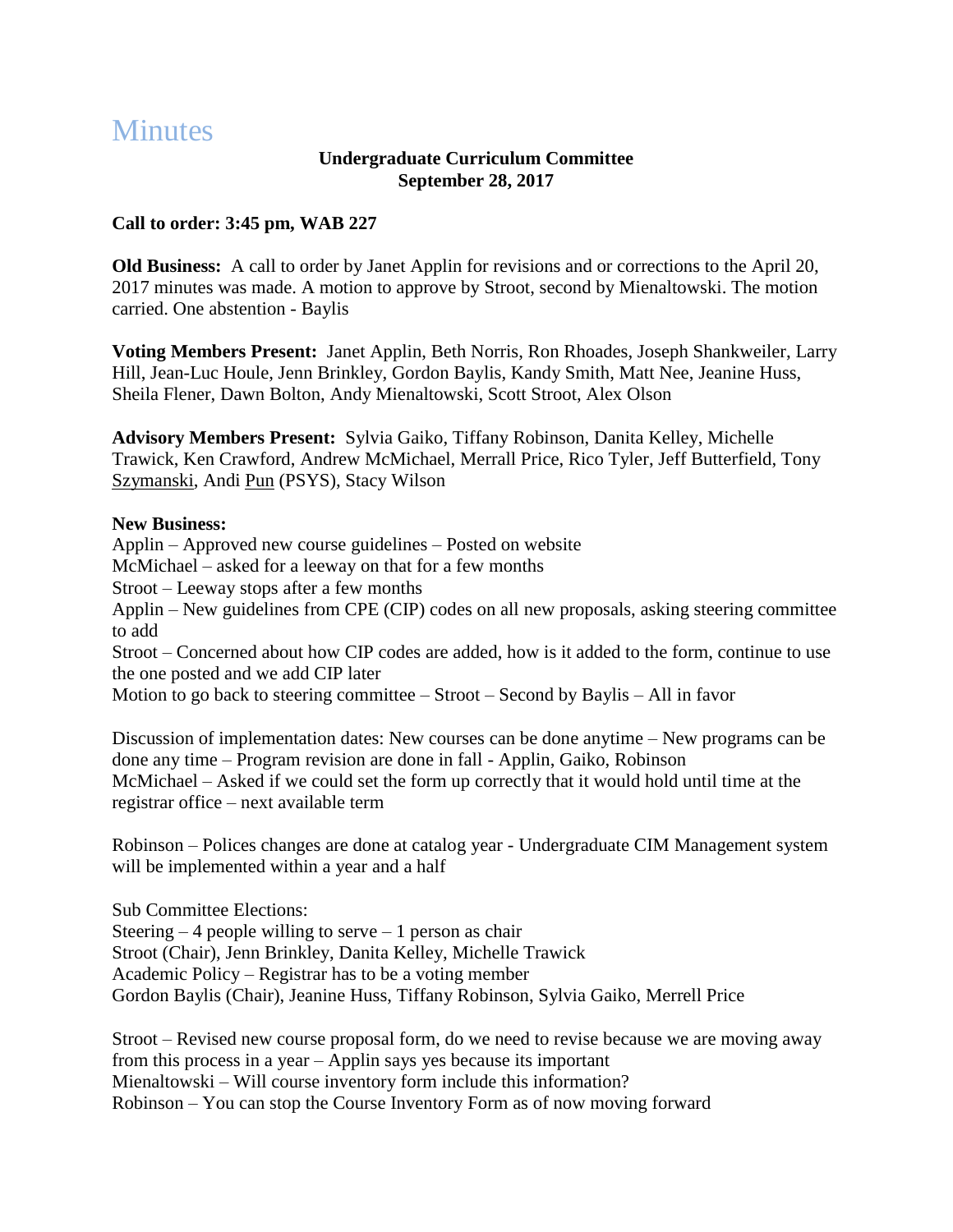## **Minutes**

## **Undergraduate Curriculum Committee September 28, 2017**

## **Call to order: 3:45 pm, WAB 227**

**Old Business:** A call to order by Janet Applin for revisions and or corrections to the April 20, 2017 minutes was made. A motion to approve by Stroot, second by Mienaltowski. The motion carried. One abstention - Baylis

**Voting Members Present:** Janet Applin, Beth Norris, Ron Rhoades, Joseph Shankweiler, Larry Hill, Jean-Luc Houle, Jenn Brinkley, Gordon Baylis, Kandy Smith, Matt Nee, Jeanine Huss, Sheila Flener, Dawn Bolton, Andy Mienaltowski, Scott Stroot, Alex Olson

**Advisory Members Present:** Sylvia Gaiko, Tiffany Robinson, Danita Kelley, Michelle Trawick, Ken Crawford, Andrew McMichael, Merrall Price, Rico Tyler, Jeff Butterfield, Tony Szymanski, Andi Pun (PSYS), Stacy Wilson

## **New Business:**

Applin – Approved new course guidelines – Posted on website McMichael – asked for a leeway on that for a few months Stroot – Leeway stops after a few months Applin – New guidelines from CPE (CIP) codes on all new proposals, asking steering committee to add Stroot – Concerned about how CIP codes are added, how is it added to the form, continue to use the one posted and we add CIP later Motion to go back to steering committee – Stroot – Second by Baylis – All in favor

Discussion of implementation dates: New courses can be done anytime – New programs can be done any time – Program revision are done in fall - Applin, Gaiko, Robinson McMichael – Asked if we could set the form up correctly that it would hold until time at the registrar office – next available term

Robinson – Polices changes are done at catalog year - Undergraduate CIM Management system will be implemented within a year and a half

Sub Committee Elections: Steering  $-4$  people willing to serve  $-1$  person as chair Stroot (Chair), Jenn Brinkley, Danita Kelley, Michelle Trawick Academic Policy – Registrar has to be a voting member Gordon Baylis (Chair), Jeanine Huss, Tiffany Robinson, Sylvia Gaiko, Merrell Price

Stroot – Revised new course proposal form, do we need to revise because we are moving away from this process in a year – Applin says yes because its important Mienaltowski – Will course inventory form include this information? Robinson – You can stop the Course Inventory Form as of now moving forward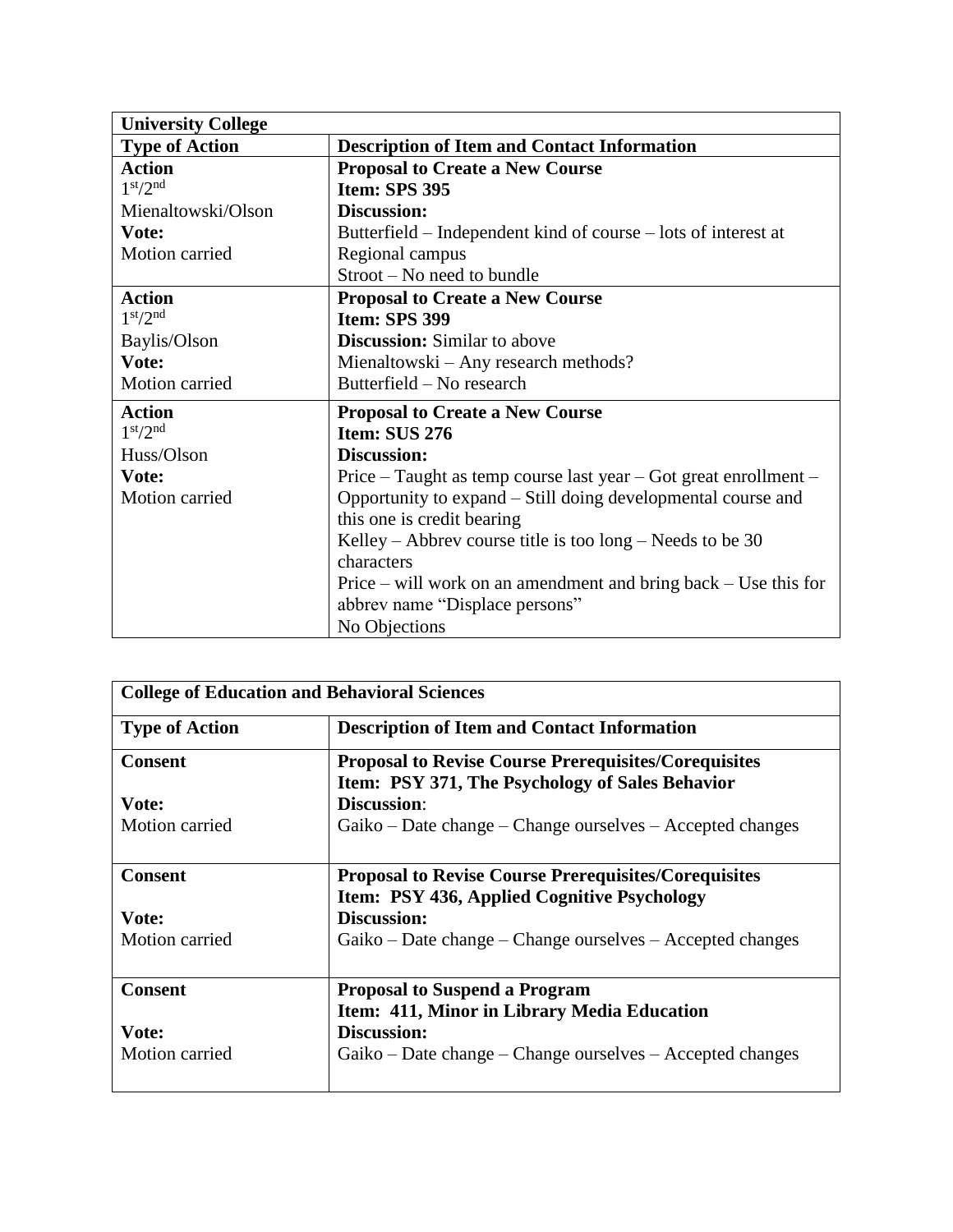| <b>University College</b>        |                                                                  |
|----------------------------------|------------------------------------------------------------------|
| <b>Type of Action</b>            | <b>Description of Item and Contact Information</b>               |
| <b>Action</b>                    | <b>Proposal to Create a New Course</b>                           |
| 1 <sup>st</sup> /2 <sup>nd</sup> | <b>Item: SPS 395</b>                                             |
| Mienaltowski/Olson               | <b>Discussion:</b>                                               |
| Vote:                            | Butterfield – Independent kind of course – lots of interest at   |
| Motion carried                   | Regional campus                                                  |
|                                  | Stroot – No need to bundle                                       |
| <b>Action</b>                    | <b>Proposal to Create a New Course</b>                           |
| 1 <sup>st</sup> /2 <sup>nd</sup> | <b>Item: SPS 399</b>                                             |
| Baylis/Olson                     | <b>Discussion:</b> Similar to above                              |
| Vote:                            | Mienaltowski – Any research methods?                             |
| Motion carried                   | Butterfield – No research                                        |
| <b>Action</b>                    | <b>Proposal to Create a New Course</b>                           |
| 1 <sup>st</sup> /2 <sup>nd</sup> | Item: SUS 276                                                    |
| Huss/Olson                       | Discussion:                                                      |
| Vote:                            | Price – Taught as temp course last year – Got great enrollment – |
| Motion carried                   | Opportunity to expand – Still doing developmental course and     |
|                                  | this one is credit bearing                                       |
|                                  | Kelley – Abbrev course title is too $\log$ – Needs to be 30      |
|                                  | characters                                                       |
|                                  | Price – will work on an amendment and bring back – Use this for  |
|                                  | abbrev name "Displace persons"                                   |
|                                  | No Objections                                                    |

| <b>College of Education and Behavioral Sciences</b> |                                                             |
|-----------------------------------------------------|-------------------------------------------------------------|
| <b>Type of Action</b>                               | <b>Description of Item and Contact Information</b>          |
| <b>Consent</b>                                      | <b>Proposal to Revise Course Prerequisites/Corequisites</b> |
|                                                     | Item: PSY 371, The Psychology of Sales Behavior             |
| Vote:                                               | <b>Discussion:</b>                                          |
| Motion carried                                      | Gaiko – Date change – Change ourselves – Accepted changes   |
|                                                     |                                                             |
| <b>Consent</b>                                      | <b>Proposal to Revise Course Prerequisites/Corequisites</b> |
|                                                     | Item: PSY 436, Applied Cognitive Psychology                 |
| Vote:                                               | <b>Discussion:</b>                                          |
| Motion carried                                      | Gaiko – Date change – Change ourselves – Accepted changes   |
|                                                     |                                                             |
| <b>Consent</b>                                      | <b>Proposal to Suspend a Program</b>                        |
|                                                     | Item: 411, Minor in Library Media Education                 |
| Vote:                                               | <b>Discussion:</b>                                          |
| Motion carried                                      | Gaiko – Date change – Change ourselves – Accepted changes   |
|                                                     |                                                             |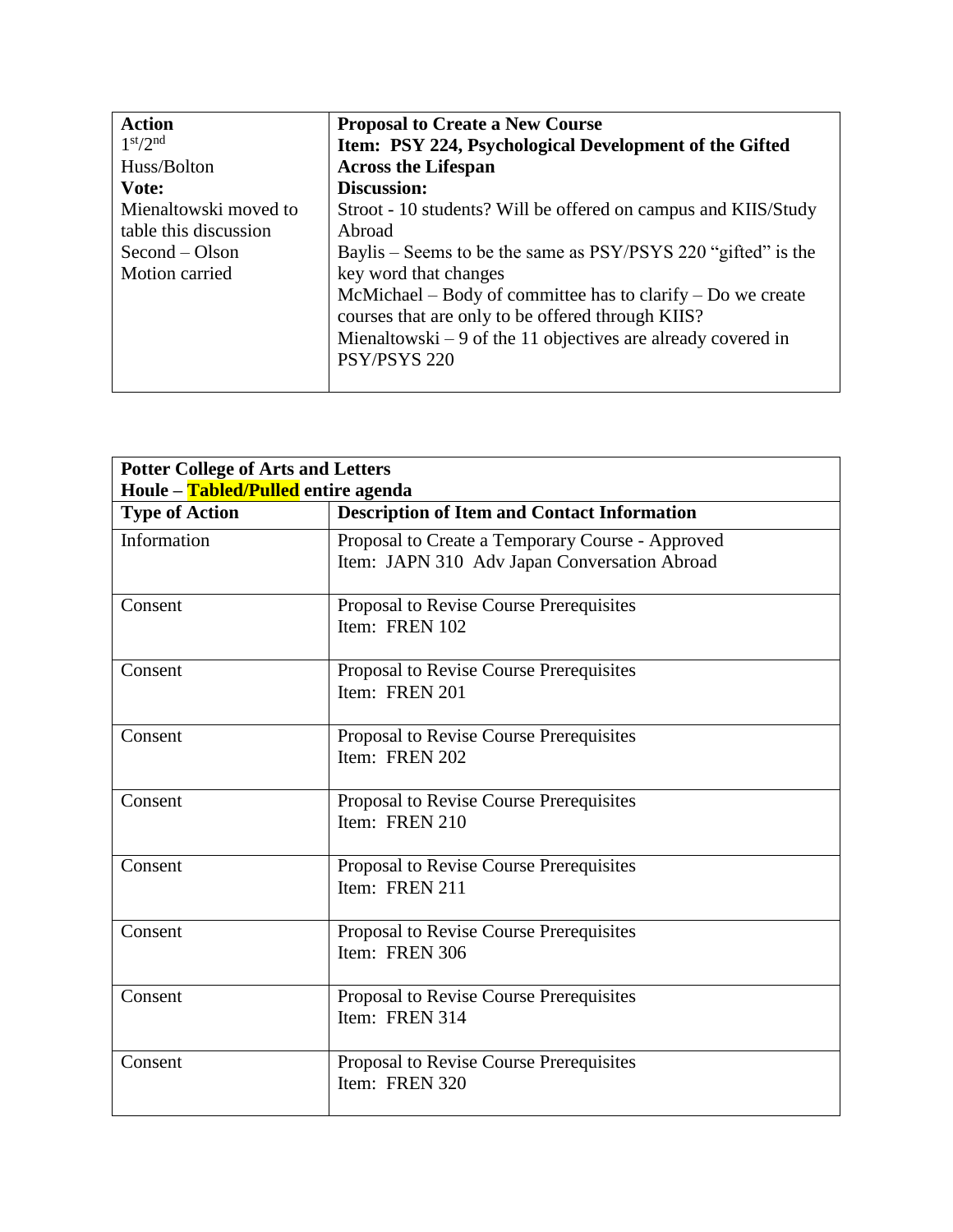| <b>Action</b>                    | <b>Proposal to Create a New Course</b>                         |
|----------------------------------|----------------------------------------------------------------|
| 1 <sup>st</sup> /2 <sup>nd</sup> | Item: PSY 224, Psychological Development of the Gifted         |
| Huss/Bolton                      | <b>Across the Lifespan</b>                                     |
| Vote:                            | <b>Discussion:</b>                                             |
| Mienaltowski moved to            | Stroot - 10 students? Will be offered on campus and KIIS/Study |
| table this discussion            | Abroad                                                         |
| $Second - Olsen$                 | Baylis – Seems to be the same as PSY/PSYS 220 "gifted" is the  |
| Motion carried                   | key word that changes                                          |
|                                  | McMichael – Body of committee has to clarify – Do we create    |
|                                  | courses that are only to be offered through KIIS?              |
|                                  | Mienaltowski $-9$ of the 11 objectives are already covered in  |
|                                  | PSY/PSYS 220                                                   |
|                                  |                                                                |

| <b>Potter College of Arts and Letters</b><br>Houle – Tabled/Pulled entire agenda |                                                                                                  |
|----------------------------------------------------------------------------------|--------------------------------------------------------------------------------------------------|
| <b>Type of Action</b>                                                            | <b>Description of Item and Contact Information</b>                                               |
| Information                                                                      | Proposal to Create a Temporary Course - Approved<br>Item: JAPN 310 Adv Japan Conversation Abroad |
| Consent                                                                          | Proposal to Revise Course Prerequisites<br>Item: FREN 102                                        |
| Consent                                                                          | Proposal to Revise Course Prerequisites<br>Item: FREN 201                                        |
| Consent                                                                          | Proposal to Revise Course Prerequisites<br>Item: FREN 202                                        |
| Consent                                                                          | Proposal to Revise Course Prerequisites<br>Item: FREN 210                                        |
| Consent                                                                          | Proposal to Revise Course Prerequisites<br>Item: FREN 211                                        |
| Consent                                                                          | Proposal to Revise Course Prerequisites<br>Item: FREN 306                                        |
| Consent                                                                          | Proposal to Revise Course Prerequisites<br>Item: FREN 314                                        |
| Consent                                                                          | Proposal to Revise Course Prerequisites<br>Item: FREN 320                                        |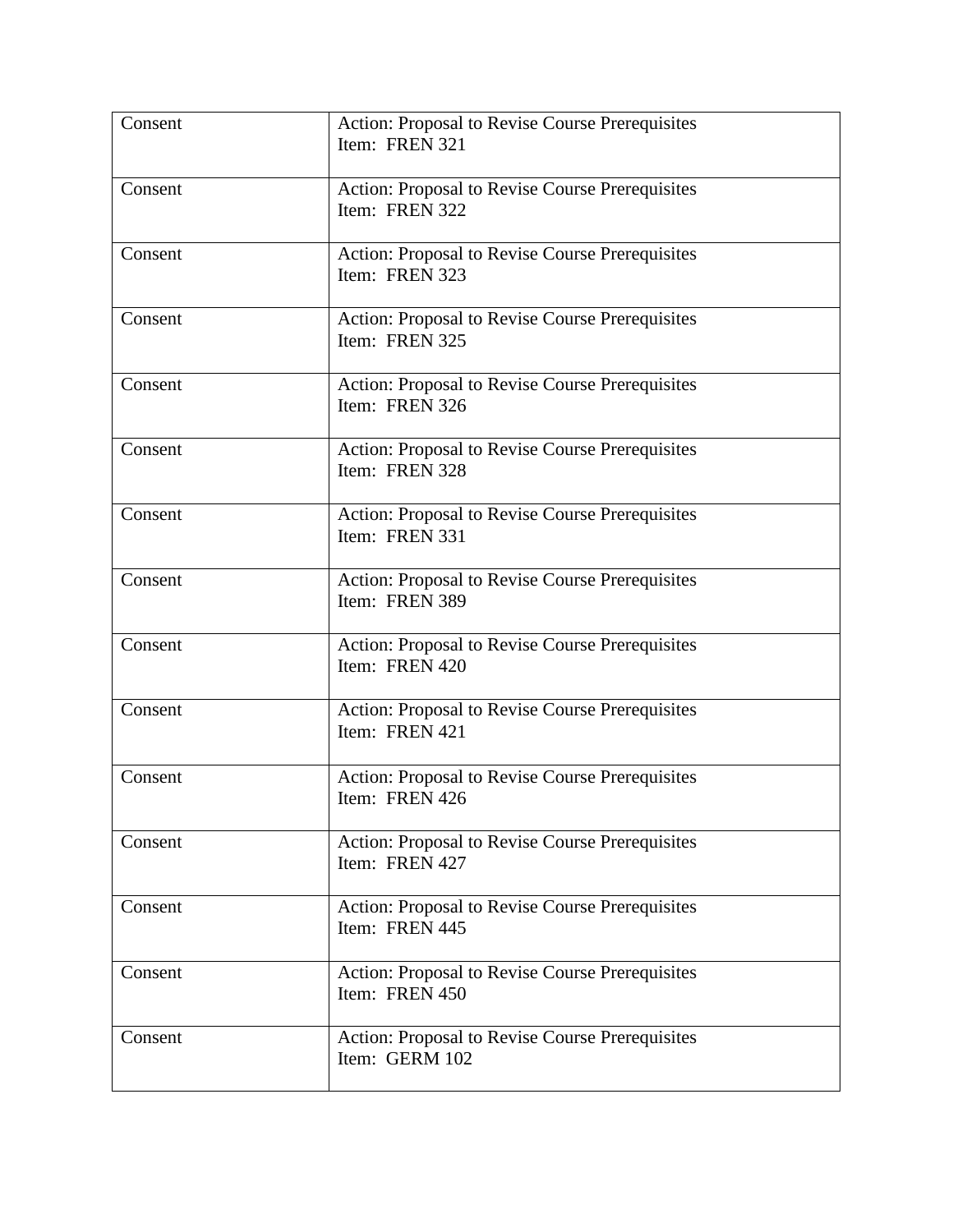| Consent | <b>Action: Proposal to Revise Course Prerequisites</b><br>Item: FREN 321 |
|---------|--------------------------------------------------------------------------|
| Consent | Action: Proposal to Revise Course Prerequisites<br>Item: FREN 322        |
| Consent | Action: Proposal to Revise Course Prerequisites<br>Item: FREN 323        |
| Consent | Action: Proposal to Revise Course Prerequisites<br>Item: FREN 325        |
| Consent | Action: Proposal to Revise Course Prerequisites<br>Item: FREN 326        |
| Consent | Action: Proposal to Revise Course Prerequisites<br>Item: FREN 328        |
| Consent | Action: Proposal to Revise Course Prerequisites<br>Item: FREN 331        |
| Consent | Action: Proposal to Revise Course Prerequisites<br>Item: FREN 389        |
| Consent | Action: Proposal to Revise Course Prerequisites<br>Item: FREN 420        |
| Consent | Action: Proposal to Revise Course Prerequisites<br>Item: FREN 421        |
| Consent | Action: Proposal to Revise Course Prerequisites<br>Item: FREN 426        |
| Consent | <b>Action: Proposal to Revise Course Prerequisites</b><br>Item: FREN 427 |
| Consent | Action: Proposal to Revise Course Prerequisites<br>Item: FREN 445        |
| Consent | Action: Proposal to Revise Course Prerequisites<br>Item: FREN 450        |
| Consent | Action: Proposal to Revise Course Prerequisites<br>Item: GERM 102        |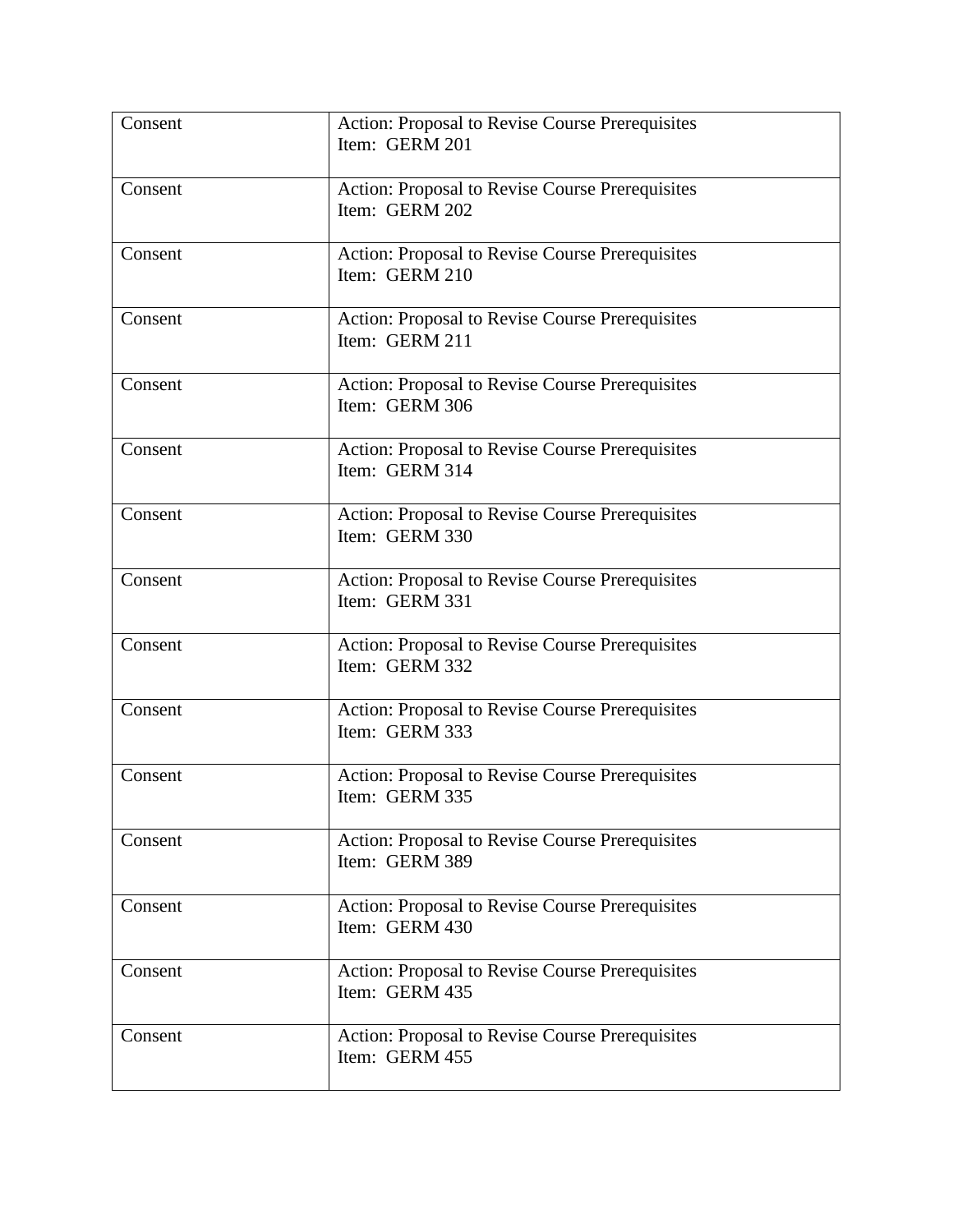| Consent | <b>Action: Proposal to Revise Course Prerequisites</b><br>Item: GERM 201 |
|---------|--------------------------------------------------------------------------|
| Consent | Action: Proposal to Revise Course Prerequisites<br>Item: GERM 202        |
| Consent | Action: Proposal to Revise Course Prerequisites<br>Item: GERM 210        |
| Consent | Action: Proposal to Revise Course Prerequisites<br>Item: GERM 211        |
| Consent | Action: Proposal to Revise Course Prerequisites<br>Item: GERM 306        |
| Consent | Action: Proposal to Revise Course Prerequisites<br>Item: GERM 314        |
| Consent | Action: Proposal to Revise Course Prerequisites<br>Item: GERM 330        |
| Consent | Action: Proposal to Revise Course Prerequisites<br>Item: GERM 331        |
| Consent | Action: Proposal to Revise Course Prerequisites<br>Item: GERM 332        |
| Consent | Action: Proposal to Revise Course Prerequisites<br>Item: GERM 333        |
| Consent | Action: Proposal to Revise Course Prerequisites<br>Item: GERM 335        |
| Consent | Action: Proposal to Revise Course Prerequisites<br>Item: GERM 389        |
| Consent | Action: Proposal to Revise Course Prerequisites<br>Item: GERM 430        |
| Consent | Action: Proposal to Revise Course Prerequisites<br>Item: GERM 435        |
| Consent | Action: Proposal to Revise Course Prerequisites<br>Item: GERM 455        |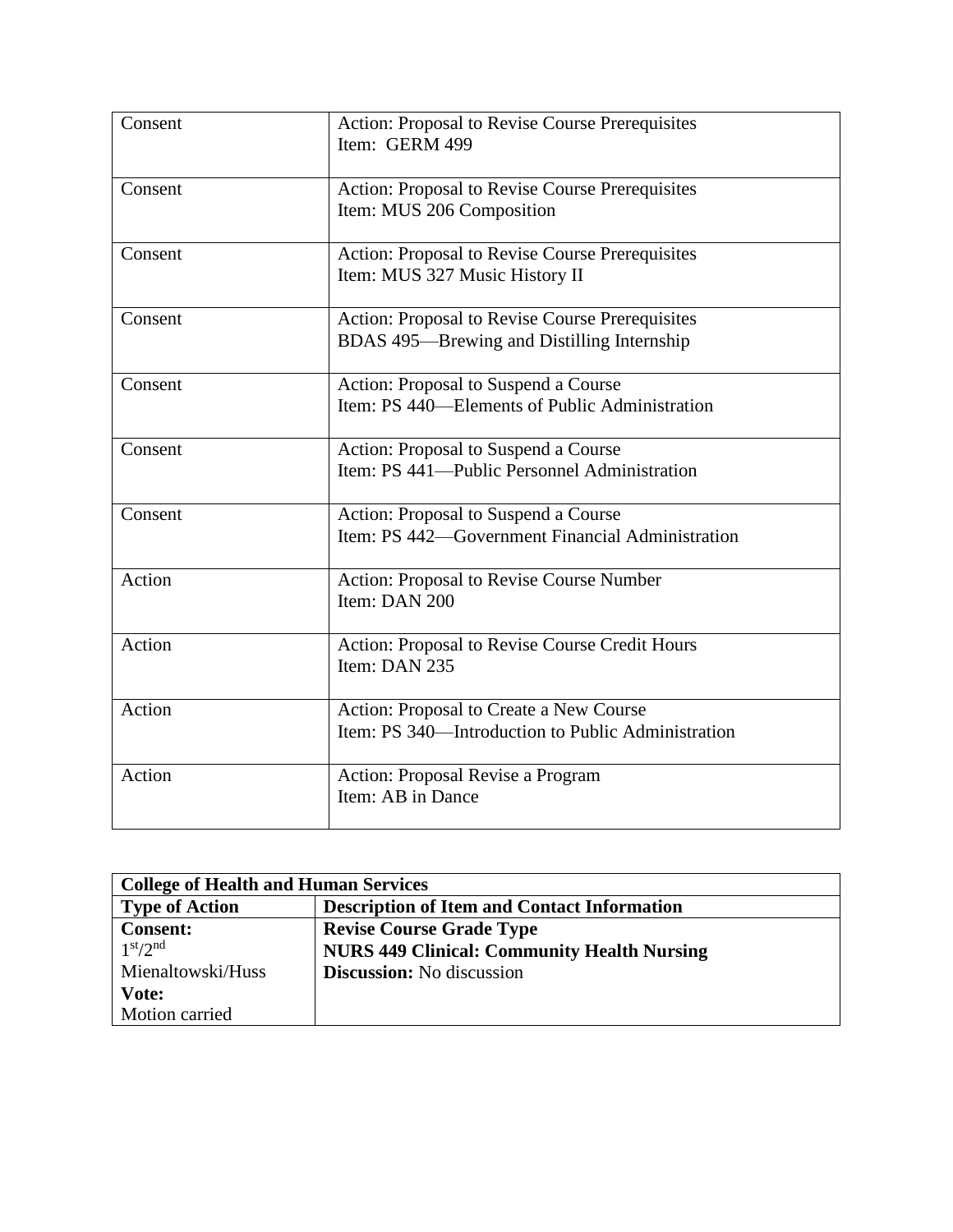| Consent | Action: Proposal to Revise Course Prerequisites<br>Item: GERM 499                                    |
|---------|------------------------------------------------------------------------------------------------------|
| Consent | Action: Proposal to Revise Course Prerequisites<br>Item: MUS 206 Composition                         |
| Consent | Action: Proposal to Revise Course Prerequisites<br>Item: MUS 327 Music History II                    |
| Consent | <b>Action: Proposal to Revise Course Prerequisites</b><br>BDAS 495—Brewing and Distilling Internship |
| Consent | Action: Proposal to Suspend a Course<br>Item: PS 440—Elements of Public Administration               |
| Consent | Action: Proposal to Suspend a Course<br>Item: PS 441—Public Personnel Administration                 |
| Consent | Action: Proposal to Suspend a Course<br>Item: PS 442—Government Financial Administration             |
| Action  | Action: Proposal to Revise Course Number<br>Item: DAN 200                                            |
| Action  | Action: Proposal to Revise Course Credit Hours<br>Item: DAN 235                                      |
| Action  | Action: Proposal to Create a New Course<br>Item: PS 340—Introduction to Public Administration        |
| Action  | Action: Proposal Revise a Program<br>Item: AB in Dance                                               |

| <b>College of Health and Human Services</b> |                                                    |
|---------------------------------------------|----------------------------------------------------|
| <b>Type of Action</b>                       | <b>Description of Item and Contact Information</b> |
| <b>Consent:</b>                             | <b>Revise Course Grade Type</b>                    |
| 1 <sup>st</sup> /2 <sup>nd</sup>            | <b>NURS 449 Clinical: Community Health Nursing</b> |
| Mienaltowski/Huss                           | <b>Discussion:</b> No discussion                   |
| Vote:                                       |                                                    |
| Motion carried                              |                                                    |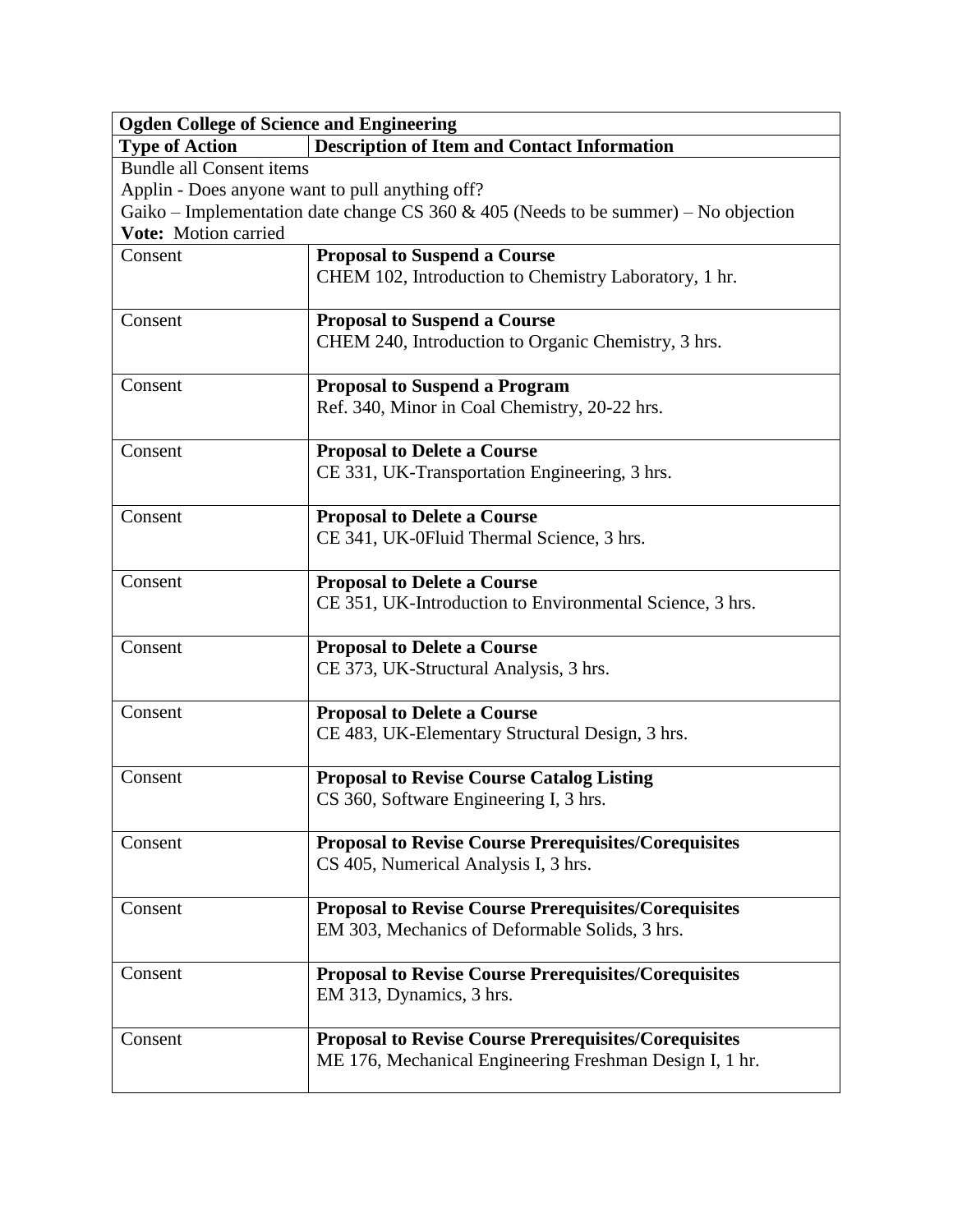| <b>Ogden College of Science and Engineering</b> |                                                                                     |  |
|-------------------------------------------------|-------------------------------------------------------------------------------------|--|
| <b>Type of Action</b>                           | <b>Description of Item and Contact Information</b>                                  |  |
| <b>Bundle all Consent items</b>                 |                                                                                     |  |
| Applin - Does anyone want to pull anything off? |                                                                                     |  |
|                                                 | Gaiko – Implementation date change CS 360 & 405 (Needs to be summer) – No objection |  |
| Vote: Motion carried                            |                                                                                     |  |
| Consent                                         | <b>Proposal to Suspend a Course</b>                                                 |  |
|                                                 | CHEM 102, Introduction to Chemistry Laboratory, 1 hr.                               |  |
| Consent                                         | <b>Proposal to Suspend a Course</b>                                                 |  |
|                                                 | CHEM 240, Introduction to Organic Chemistry, 3 hrs.                                 |  |
| Consent                                         | <b>Proposal to Suspend a Program</b>                                                |  |
|                                                 | Ref. 340, Minor in Coal Chemistry, 20-22 hrs.                                       |  |
| Consent                                         | <b>Proposal to Delete a Course</b>                                                  |  |
|                                                 | CE 331, UK-Transportation Engineering, 3 hrs.                                       |  |
| Consent                                         | <b>Proposal to Delete a Course</b>                                                  |  |
|                                                 | CE 341, UK-0Fluid Thermal Science, 3 hrs.                                           |  |
| Consent                                         | <b>Proposal to Delete a Course</b>                                                  |  |
|                                                 | CE 351, UK-Introduction to Environmental Science, 3 hrs.                            |  |
| Consent                                         | <b>Proposal to Delete a Course</b>                                                  |  |
|                                                 | CE 373, UK-Structural Analysis, 3 hrs.                                              |  |
| Consent                                         | <b>Proposal to Delete a Course</b>                                                  |  |
|                                                 | CE 483, UK-Elementary Structural Design, 3 hrs.                                     |  |
| Consent                                         | <b>Proposal to Revise Course Catalog Listing</b>                                    |  |
|                                                 | CS 360, Software Engineering I, 3 hrs.                                              |  |
| Consent                                         | <b>Proposal to Revise Course Prerequisites/Corequisites</b>                         |  |
|                                                 | CS 405, Numerical Analysis I, 3 hrs.                                                |  |
| Consent                                         | <b>Proposal to Revise Course Prerequisites/Corequisites</b>                         |  |
|                                                 | EM 303, Mechanics of Deformable Solids, 3 hrs.                                      |  |
| Consent                                         | <b>Proposal to Revise Course Prerequisites/Corequisites</b>                         |  |
|                                                 | EM 313, Dynamics, 3 hrs.                                                            |  |
| Consent                                         | <b>Proposal to Revise Course Prerequisites/Corequisites</b>                         |  |
|                                                 | ME 176, Mechanical Engineering Freshman Design I, 1 hr.                             |  |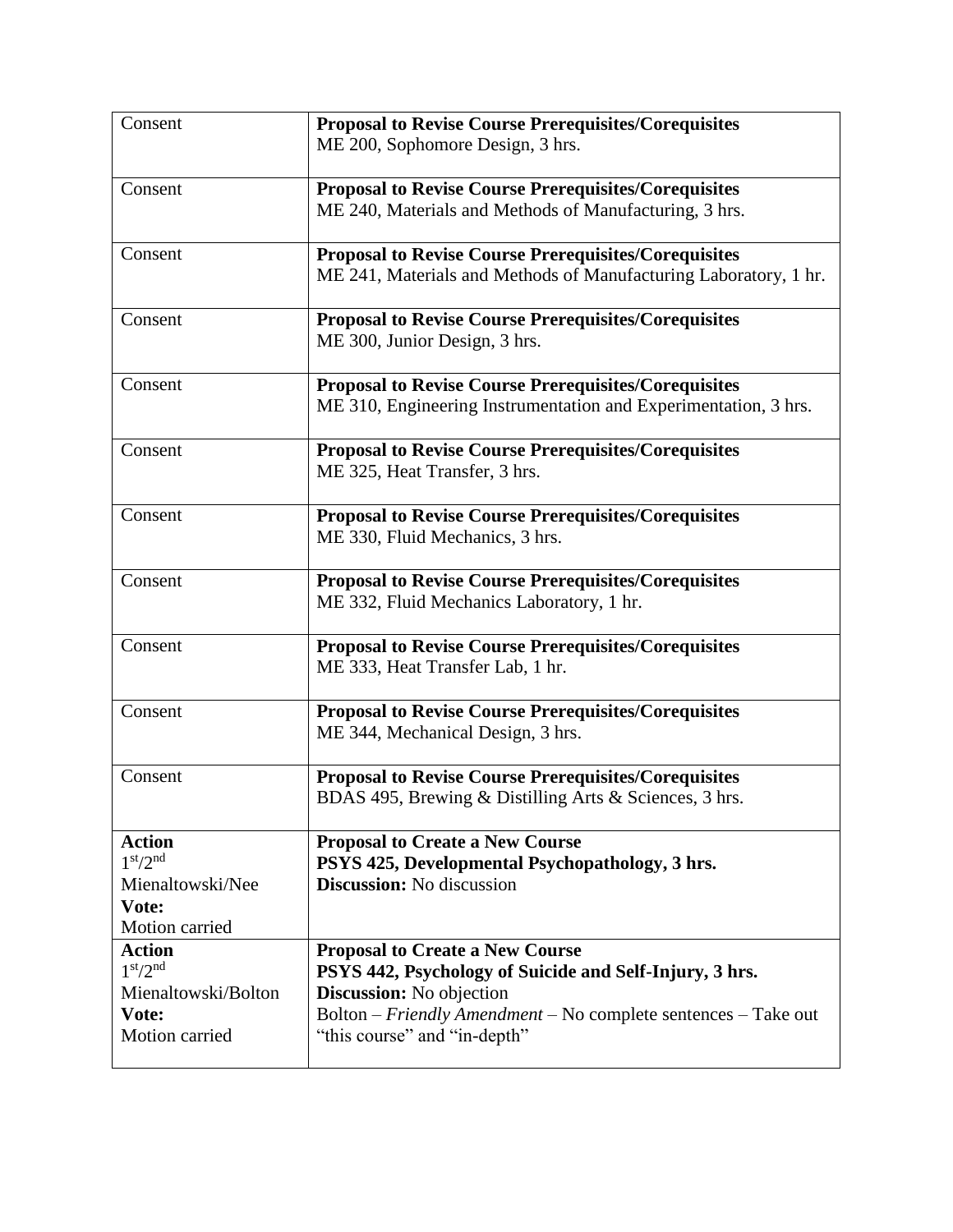| Consent                                           | <b>Proposal to Revise Course Prerequisites/Corequisites</b>                               |
|---------------------------------------------------|-------------------------------------------------------------------------------------------|
|                                                   | ME 200, Sophomore Design, 3 hrs.                                                          |
|                                                   |                                                                                           |
| Consent                                           | <b>Proposal to Revise Course Prerequisites/Corequisites</b>                               |
|                                                   | ME 240, Materials and Methods of Manufacturing, 3 hrs.                                    |
|                                                   |                                                                                           |
| Consent                                           | <b>Proposal to Revise Course Prerequisites/Corequisites</b>                               |
|                                                   | ME 241, Materials and Methods of Manufacturing Laboratory, 1 hr.                          |
|                                                   |                                                                                           |
| Consent                                           | <b>Proposal to Revise Course Prerequisites/Corequisites</b>                               |
|                                                   | ME 300, Junior Design, 3 hrs.                                                             |
| Consent                                           | <b>Proposal to Revise Course Prerequisites/Corequisites</b>                               |
|                                                   | ME 310, Engineering Instrumentation and Experimentation, 3 hrs.                           |
|                                                   |                                                                                           |
| Consent                                           | <b>Proposal to Revise Course Prerequisites/Corequisites</b>                               |
|                                                   | ME 325, Heat Transfer, 3 hrs.                                                             |
|                                                   |                                                                                           |
| Consent                                           | <b>Proposal to Revise Course Prerequisites/Corequisites</b>                               |
|                                                   | ME 330, Fluid Mechanics, 3 hrs.                                                           |
|                                                   |                                                                                           |
| Consent                                           | <b>Proposal to Revise Course Prerequisites/Corequisites</b>                               |
|                                                   | ME 332, Fluid Mechanics Laboratory, 1 hr.                                                 |
| Consent                                           | <b>Proposal to Revise Course Prerequisites/Corequisites</b>                               |
|                                                   | ME 333, Heat Transfer Lab, 1 hr.                                                          |
|                                                   |                                                                                           |
| Consent                                           | <b>Proposal to Revise Course Prerequisites/Corequisites</b>                               |
|                                                   | ME 344, Mechanical Design, 3 hrs.                                                         |
|                                                   |                                                                                           |
| Consent                                           | <b>Proposal to Revise Course Prerequisites/Corequisites</b>                               |
|                                                   | BDAS 495, Brewing & Distilling Arts & Sciences, 3 hrs.                                    |
|                                                   |                                                                                           |
| <b>Action</b><br>1 <sup>st</sup> /2 <sup>nd</sup> | <b>Proposal to Create a New Course</b><br>PSYS 425, Developmental Psychopathology, 3 hrs. |
| Mienaltowski/Nee                                  | <b>Discussion:</b> No discussion                                                          |
| Vote:                                             |                                                                                           |
| Motion carried                                    |                                                                                           |
| <b>Action</b>                                     | <b>Proposal to Create a New Course</b>                                                    |
| 1 <sup>st</sup> /2 <sup>nd</sup>                  | PSYS 442, Psychology of Suicide and Self-Injury, 3 hrs.                                   |
| Mienaltowski/Bolton                               | <b>Discussion:</b> No objection                                                           |
| Vote:                                             | Bolton - Friendly Amendment - No complete sentences - Take out                            |
| Motion carried                                    | "this course" and "in-depth"                                                              |
|                                                   |                                                                                           |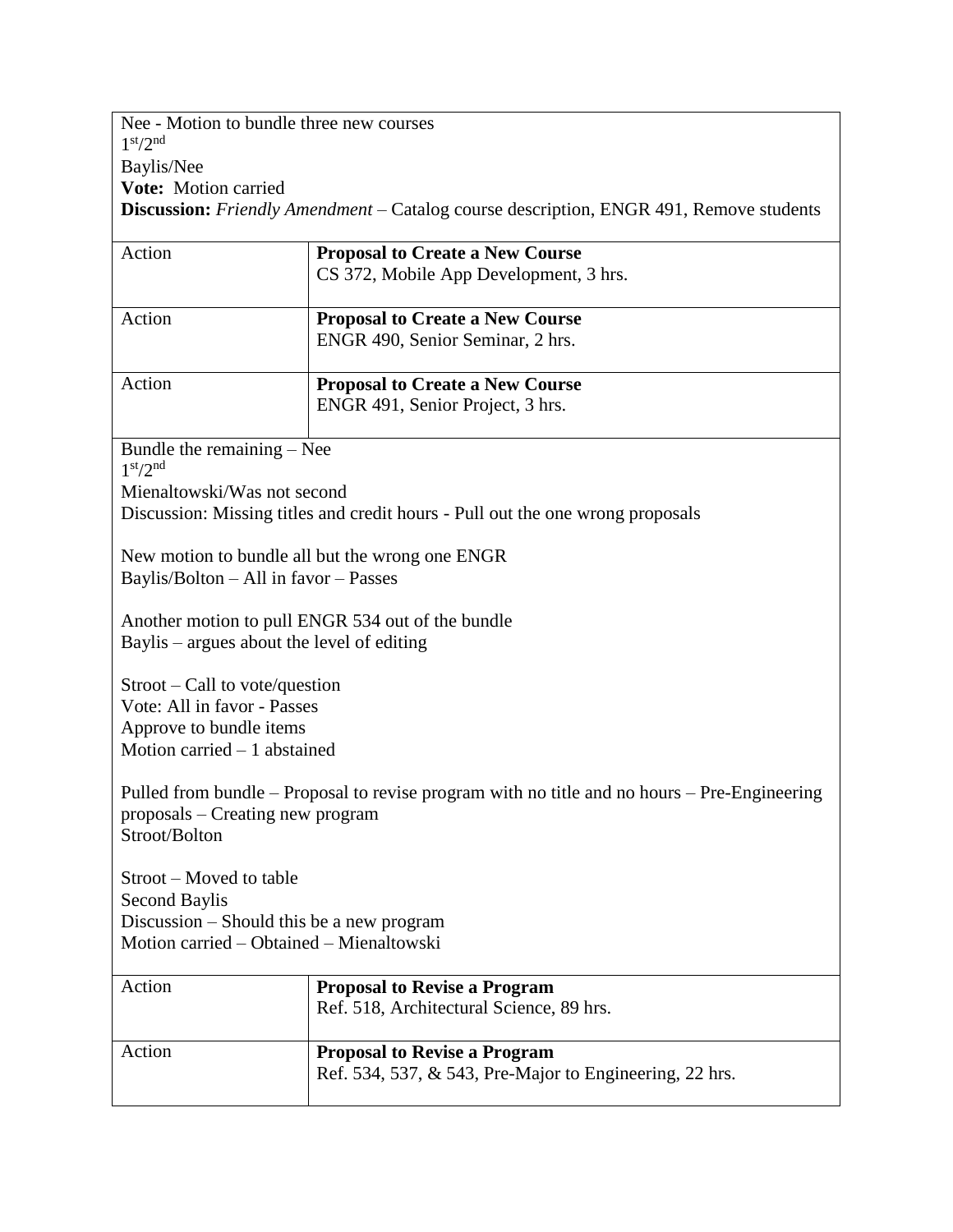Nee - Motion to bundle three new courses 1 st/2nd Baylis/Nee **Vote:** Motion carried **Discussion:** *Friendly Amendment* – Catalog course description, ENGR 491, Remove students

| Action                                                                                       | <b>Proposal to Create a New Course</b>                                         |  |
|----------------------------------------------------------------------------------------------|--------------------------------------------------------------------------------|--|
|                                                                                              | CS 372, Mobile App Development, 3 hrs.                                         |  |
| Action                                                                                       | <b>Proposal to Create a New Course</b>                                         |  |
|                                                                                              | ENGR 490, Senior Seminar, 2 hrs.                                               |  |
| Action                                                                                       | <b>Proposal to Create a New Course</b>                                         |  |
|                                                                                              | ENGR 491, Senior Project, 3 hrs.                                               |  |
| Bundle the remaining - Nee<br>1 <sup>st</sup> /2 <sup>nd</sup>                               |                                                                                |  |
| Mienaltowski/Was not second                                                                  |                                                                                |  |
|                                                                                              | Discussion: Missing titles and credit hours - Pull out the one wrong proposals |  |
|                                                                                              | New motion to bundle all but the wrong one ENGR                                |  |
| Baylis/Bolton - All in favor - Passes                                                        |                                                                                |  |
|                                                                                              | Another motion to pull ENGR 534 out of the bundle                              |  |
| Baylis – argues about the level of editing                                                   |                                                                                |  |
| $Stroot - Call to vote/question$                                                             |                                                                                |  |
| Vote: All in favor - Passes<br>Approve to bundle items                                       |                                                                                |  |
| Motion carried $-1$ abstained                                                                |                                                                                |  |
| Pulled from bundle – Proposal to revise program with no title and no hours – Pre-Engineering |                                                                                |  |
| proposals – Creating new program                                                             |                                                                                |  |
| Stroot/Bolton                                                                                |                                                                                |  |
| Stroot – Moved to table                                                                      |                                                                                |  |
| Second Baylis                                                                                |                                                                                |  |
| Discussion – Should this be a new program<br>Motion carried – Obtained – Mienaltowski        |                                                                                |  |
|                                                                                              |                                                                                |  |
| Action                                                                                       | <b>Proposal to Revise a Program</b>                                            |  |
|                                                                                              | Ref. 518, Architectural Science, 89 hrs.                                       |  |
| Action                                                                                       | <b>Proposal to Revise a Program</b>                                            |  |
|                                                                                              | Ref. 534, 537, & 543, Pre-Major to Engineering, 22 hrs.                        |  |